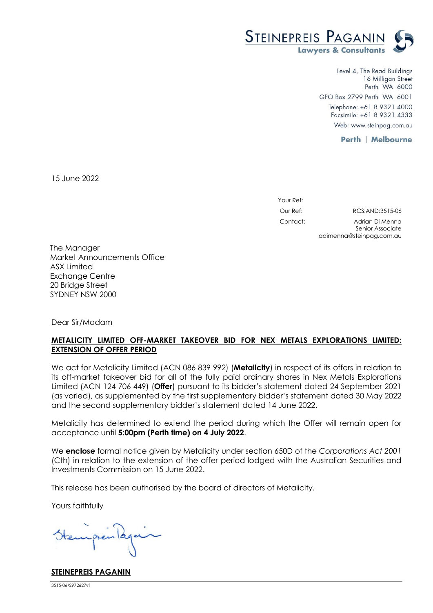

Level 4, The Read Buildings 16 Milligan Street Perth WA 6000 GPO Box 2799 Perth WA 6001 Telephone: +61 8 9321 4000 Facsimile: +61 8 9321 4333 Web: www.steinpag.com.au

adimenna@steinpag.com.au

**Perth | Melbourne** 

15 June 2022

Your Ref: Our Ref: RCS:AND:3515-06 Contact: Adrian Di Menna Senior Associate

The Manager Market Announcements Office ASX Limited Exchange Centre 20 Bridge Street SYDNEY NSW 2000

Dear Sir/Madam

## **METALICITY LIMITED OFF-MARKET TAKEOVER BID FOR NEX METALS EXPLORATIONS LIMITED: EXTENSION OF OFFER PERIOD**

We act for Metalicity Limited (ACN 086 839 992) (**Metalicity**) in respect of its offers in relation to its off-market takeover bid for all of the fully paid ordinary shares in Nex Metals Explorations Limited (ACN 124 706 449) (**Offer**) pursuant to its bidder's statement dated 24 September 2021 (as varied), as supplemented by the first supplementary bidder's statement dated 30 May 2022 and the second supplementary bidder's statement dated 14 June 2022.

Metalicity has determined to extend the period during which the Offer will remain open for acceptance until **5:00pm (Perth time) on 4 July 2022**.

We **enclose** formal notice given by Metalicity under section 650D of the *Corporations Act 2001* (Cth) in relation to the extension of the offer period lodged with the Australian Securities and Investments Commission on 15 June 2022.

This release has been authorised by the board of directors of Metalicity.

Yours faithfully

**STEINEPREIS PAGANIN**

3515-06/2972627v1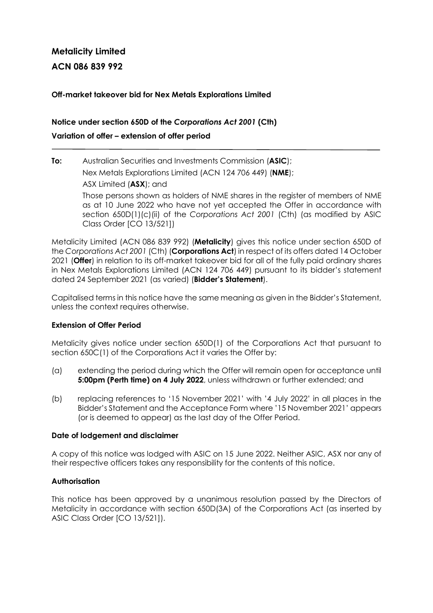# **Metalicity Limited**

**ACN 086 839 992** 

### **Off-market takeover bid for Nex Metals Explorations Limited**

## **Notice under section 650D of the** *Corporations Act 2001* **(Cth) Variation of offer – extension of offer period**

# **To:** Australian Securities and Investments Commission (**ASIC**);

Nex Metals Explorations Limited (ACN 124 706 449) (**NME**);

ASX Limited (**ASX**); and

Those persons shown as holders of NME shares in the register of members of NME as at 10 June 2022 who have not yet accepted the Offer in accordance with section 650D(1)(c)(ii) of the *Corporations Act 2001* (Cth) (as modified by ASIC Class Order [CO 13/521])

Metalicity Limited (ACN 086 839 992) (**Metalicity**) gives this notice under section 650D of the *Corporations Act 2001* (Cth) (**Corporations Act**) in respect of its offers dated 14 October 2021 (**Offer**) in relation to its off-market takeover bid for all of the fully paid ordinary shares in Nex Metals Explorations Limited (ACN 124 706 449) pursuant to its bidder's statement dated 24 September 2021 (as varied) (**Bidder's Statement**).

Capitalised terms in this notice have the same meaning as given in the Bidder's Statement, unless the context requires otherwise.

## **Extension of Offer Period**

Metalicity gives notice under section 650D(1) of the Corporations Act that pursuant to section 650C(1) of the Corporations Act it varies the Offer by:

- (a) extending the period during which the Offer will remain open for acceptance until **5:00pm (Perth time) on 4 July 2022**, unless withdrawn or further extended; and
- (b) replacing references to '15 November 2021' with '4 July 2022' in all places in the Bidder's Statement and the Acceptance Form where '15 November 2021' appears (or is deemed to appear) as the last day of the Offer Period.

#### **Date of lodgement and disclaimer**

A copy of this notice was lodged with ASIC on 15 June 2022. Neither ASIC, ASX nor any of their respective officers takes any responsibility for the contents of this notice.

#### **Authorisation**

This notice has been approved by a unanimous resolution passed by the Directors of Metalicity in accordance with section 650D(3A) of the Corporations Act (as inserted by ASIC Class Order [CO 13/521]).